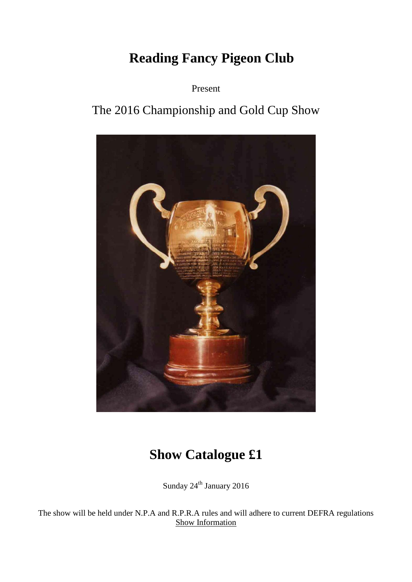# **Reading Fancy Pigeon Club**

Present

# The 2016 Championship and Gold Cup Show



# **Show Catalogue £1**

Sunday  $24^{\rm th}$  January 2016

The show will be held under N.P.A and R.P.R.A rules and will adhere to current DEFRA regulations Show Information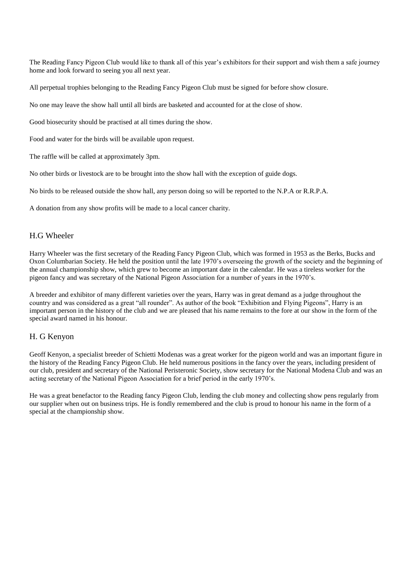The Reading Fancy Pigeon Club would like to thank all of this year's exhibitors for their support and wish them a safe journey home and look forward to seeing you all next year.

All perpetual trophies belonging to the Reading Fancy Pigeon Club must be signed for before show closure.

No one may leave the show hall until all birds are basketed and accounted for at the close of show.

Good biosecurity should be practised at all times during the show.

Food and water for the birds will be available upon request.

The raffle will be called at approximately 3pm.

No other birds or livestock are to be brought into the show hall with the exception of guide dogs.

No birds to be released outside the show hall, any person doing so will be reported to the N.P.A or R.R.P.A.

A donation from any show profits will be made to a local cancer charity.

# H.G Wheeler

Harry Wheeler was the first secretary of the Reading Fancy Pigeon Club, which was formed in 1953 as the Berks, Bucks and Oxon Columbarian Society. He held the position until the late 1970's overseeing the growth of the society and the beginning of the annual championship show, which grew to become an important date in the calendar. He was a tireless worker for the pigeon fancy and was secretary of the National Pigeon Association for a number of years in the 1970's.

A breeder and exhibitor of many different varieties over the years, Harry was in great demand as a judge throughout the country and was considered as a great "all rounder". As author of the book "Exhibition and Flying Pigeons", Harry is an important person in the history of the club and we are pleased that his name remains to the fore at our show in the form of the special award named in his honour.

# H. G Kenyon

Geoff Kenyon, a specialist breeder of Schietti Modenas was a great worker for the pigeon world and was an important figure in the history of the Reading Fancy Pigeon Club. He held numerous positions in the fancy over the years, including president of our club, president and secretary of the National Peristeronic Society, show secretary for the National Modena Club and was an acting secretary of the National Pigeon Association for a brief period in the early 1970's.

He was a great benefactor to the Reading fancy Pigeon Club, lending the club money and collecting show pens regularly from our supplier when out on business trips. He is fondly remembered and the club is proud to honour his name in the form of a special at the championship show.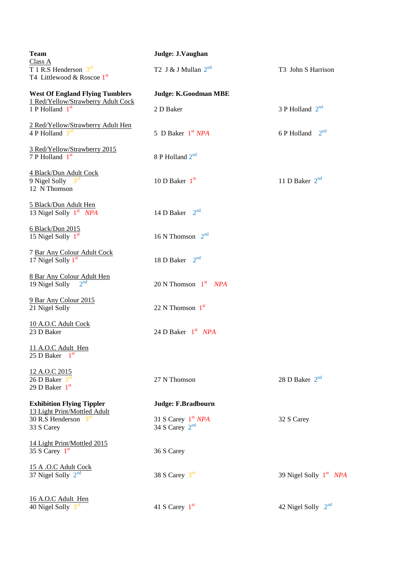| <b>Team</b><br>Class A                                                         | Judge: J.Vaughan                         |                                |
|--------------------------------------------------------------------------------|------------------------------------------|--------------------------------|
| T 1 R.S Henderson $3^{\text{rd}}$<br>T4 Littlewood & Roscoe 1st                | T2 J & J Mullan $2^{nd}$                 | T3 John S Harrison             |
| <b>West Of England Flying Tumblers</b>                                         | Judge: K.Goodman MBE                     |                                |
| 1 Red/Yellow/Strawberry Adult Cock<br>1 P Holland $1st$                        | 2 D Baker                                | 3 P Holland $2^{nd}$           |
| 2 Red/Yellow/Strawberry Adult Hen<br>4 P Holland $3^{\text{rd}}$               | 5 D Baker 1 <sup>st</sup> NPA            | 2 <sup>nd</sup><br>6 P Holland |
| 3 Red/Yellow/Strawberry 2015<br>7 P Holland 1st                                | 8 P Holland 2 <sup>nd</sup>              |                                |
| 4 Black/Dun Adult Cock<br>9 Nigel Solly $3^{\text{rd}}$<br>12 N Thomson        | 10 D Baker $1st$                         | 11 D Baker $2nd$               |
| 5 Black/Dun Adult Hen<br>13 Nigel Solly 1st NPA                                | 14 D Baker $2nd$                         |                                |
| 6 Black/Dun 2015<br>15 Nigel Solly 1st                                         | 16 N Thomson $2^{nd}$                    |                                |
| 7 Bar Any Colour Adult Cock<br>17 Nigel Solly 1st                              | 18 D Baker $2^{nd}$                      |                                |
| 8 Bar Any Colour Adult Hen<br>$2^{nd}$<br>19 Nigel Solly                       | 20 N Thomson $1st$ NPA                   |                                |
| 9 Bar Any Colour 2015<br>21 Nigel Solly                                        | 22 N Thomson $1st$                       |                                |
| 10 A.O.C Adult Cock<br>23 D Baker                                              | 24 D Baker $1st$ NPA                     |                                |
| 11 A.O.C Adult Hen<br>25 D Baker $1st$                                         |                                          |                                |
| 12 A.O.C 2015<br>$26$ D Baker $3^{\text{rd}}$<br>29 D Baker $1st$              | 27 N Thomson                             | 28 D Baker $2nd$               |
| <b>Exhibition Flying Tippler</b>                                               | Judge: F.Bradbourn                       |                                |
| 13 Light Print/Mottled Adult<br>30 R.S Henderson $3^{\text{rd}}$<br>33 S Carey | 31 S Carey $1st NPA$<br>34 S Carey $2nd$ | 32 S Carey                     |
| 14 Light Print/Mottled 2015<br>35 S Carey $1st$                                | 36 S Carey                               |                                |
| 15 A .O.C Adult Cock<br>37 Nigel Solly $2nd$                                   | 38 S Carey $3rd$                         | 39 Nigel Solly $1st$ NPA       |
| 16 A.O.C Adult Hen<br>40 Nigel Solly $3^{\text{rd}}$                           | 41 S Carey $1st$                         | 42 Nigel Solly 2 <sup>nd</sup> |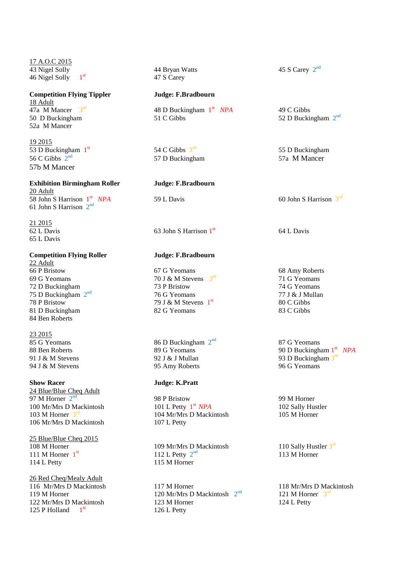17 A.O.C 2015 43 Nigel Solly  $\frac{44 \text{ Bryan Watts}}{47 \text{ S } \text{Cary}}$ 46 Nigel Solly 1

**Competition Flying Tippler Judge: F.Bradbourn** 18 Adult 47a M $\overline{\text{M}}$ Mancer 3<sup>rd</sup> 52a M Mancer

19 2015 53 D Buckingham 1st 56 C Gibbs  $2<sup>nd</sup>$ 57b M Mancer

# **Exhibition Birmingham Roller Judge: F.Bradbourn**

20 Adult 58 John S Harrison 1st 61 John S Harrison  $2^{nd}$ 

21 2015 65 L Davis

**Competition Flying Roller Judge: F.Bradbourn**

 $\frac{22 \text{ Adult}}{66 \text{ P Bristol}}$ 69 G Yeomans 70 J & M Stevens  $3<sup>rd</sup>$ 72 D Buckingham 73 P Bristow 74 G Yeomans 75 D Buckingham 2 78 P Bristow 79 J & M Stevens  $1<sup>st</sup>$ 81 D Buckingham 82 G Yeomans 83 C Gibbs 83 C Gibbs 84 Ben Roberts

23 2015

24 Blue/Blue Cheq Adult 97 M Horner  $2^{nd}$ 100 Mr/Mrs D Mackintosh 103 M Horner  $3^{\text{rd}}$ 106 Mr/Mrs D Mackintosh 107 L Petty

25 Blue/Blue Cheq 2015 108 M Horner 109 Mr/Mrs D Mackintosh 111 M Horner  $1<sup>st</sup>$ 114 L Petty 115 M Horner

26 Red Cheq/Mealy Adult 116 Mr/Mrs D Mackintosh 117 M Horner 118 Mr/Mrs D Mackintosh 125 P Holland  $1<sup>st</sup>$ 

47 S Carey

48 D Buckingham  $1<sup>st</sup> NPA$ <br>51 C Gibbs 50 D Buckingham 51 C Gibbs 51 C Gibbs 52 D Buckingham  $2^{nd}$ 

> 54 C Gibbs  $3<sup>rd</sup>$ 57 D Buckingham 57a M Mancer

 $\overline{62 \text{ L} \text{ Davis}}$  63 John S Harrison 1st

67 G Yeomans 68 Amy Roberts 76 G Yeomans 77 J & J Mullan

85 G Yeomans 86 D Buckingham  $2<sup>nd</sup>$ 91 J & M Stevens 92 J & J Mullan 93 D Buckingham  $3^{rd}$ 94 J & M Stevens 95 Amy Roberts 96 G Yeomans

## **Show Racer Judge: K.Pratt**

98 P Bristow 99 M Horner<br>
101 L Petty 1<sup>st</sup> *NPA* 102 Sally Hus 104 Mr/Mrs D Mackintosh

112 L Petty  $2^{nd}$ 

119 M Horner 120 Mr/Mrs D Mackintosh  $2<sup>nd</sup>$ 122 Mr/Mrs D Mackintosh 123 M Horner 124 L Petty 126 L Petty

45 S Carey  $2^{nd}$ 

49 C Gibbs

55 D Buckingham

*NPA* 59 L Davis 60 John S Harrison 3<sup>rd</sup>

64 L Davis

71 G Yeomans 80 C Gibbs

87 G Yeomans 88 Ben Roberts **89 G Yeomans** 90 D Buckingham 1<sup>st</sup> NPA

102 Sally Hustler<br>105 M Horner

110 Sally Hustler 3rd 113 M Horner

 $^{nd}$  121 M Horner  $3^{rd}$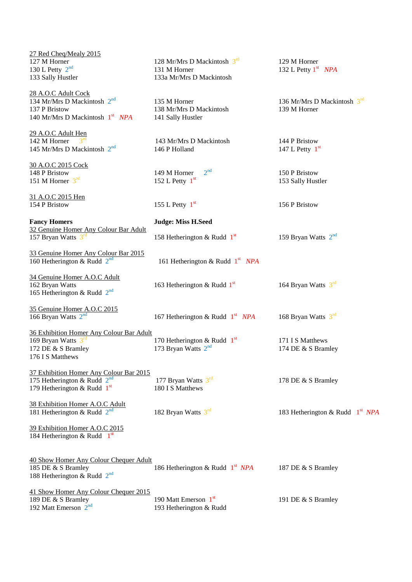| 27 Red Cheq/Mealy 2015                          |                                             |                                   |
|-------------------------------------------------|---------------------------------------------|-----------------------------------|
| 127 M Horner                                    | 128 Mr/Mrs D Mackintosh $3rd$               | 129 M Horner                      |
| 130 L Petty $2^{nd}$<br>133 Sally Hustler       | 131 M Horner<br>133a Mr/Mrs D Mackintosh    | 132 L Petty $1st$ NPA             |
|                                                 |                                             |                                   |
| 28 A.O.C Adult Cock                             |                                             |                                   |
| 134 Mr/Mrs D Mackintosh 2 <sup>nd</sup>         | 135 M Horner                                | 136 Mr/Mrs D Mackintosh $3rd$     |
| 137 P Bristow                                   | 138 Mr/Mrs D Mackintosh                     | 139 M Horner                      |
| 140 Mr/Mrs D Mackintosh 1 <sup>st</sup> NPA     | 141 Sally Hustler                           |                                   |
| 29 A.O.C Adult Hen                              |                                             |                                   |
| 142 M Horner                                    | 143 Mr/Mrs D Mackintosh                     | 144 P Bristow                     |
| 145 Mr/Mrs D Mackintosh 2 <sup>nd</sup>         | 146 P Holland                               | 147 L Petty $1st$                 |
|                                                 |                                             |                                   |
| 30 A.O.C 2015 Cock                              |                                             |                                   |
| 148 P Bristow                                   | 2 <sup>nd</sup><br>149 M Horner             | 150 P Bristow                     |
| 151 M Horner $3^{\text{rd}}$                    | 152 L Petty $1st$                           | 153 Sally Hustler                 |
|                                                 |                                             |                                   |
| 31 A.O.C 2015 Hen<br>154 P Bristow              | 155 L Petty $1st$                           | 156 P Bristow                     |
|                                                 |                                             |                                   |
| <b>Fancy Homers</b>                             | <b>Judge: Miss H.Seed</b>                   |                                   |
| 32 Genuine Homer Any Colour Bar Adult           |                                             |                                   |
| 157 Bryan Watts $3rd$                           | 158 Hetherington & Rudd $1st$               | 159 Bryan Watts $2nd$             |
|                                                 |                                             |                                   |
| 33 Genuine Homer Any Colour Bar 2015            |                                             |                                   |
| 160 Hetherington & Rudd $2nd$                   | 161 Hetherington & Rudd $1st$ NPA           |                                   |
|                                                 |                                             |                                   |
| 34 Genuine Homer A.O.C Adult<br>162 Bryan Watts |                                             | 164 Bryan Watts $3rd$             |
| 165 Hetherington & Rudd $2nd$                   | 163 Hetherington & Rudd $1st$               |                                   |
|                                                 |                                             |                                   |
| 35 Genuine Homer A.O.C 2015                     |                                             |                                   |
| 166 Bryan Watts $2nd$                           | 167 Hetherington & Rudd $1st$ NPA           | 168 Bryan Watts $3^{\text{rd}}$   |
|                                                 |                                             |                                   |
| 36 Exhibition Homer Any Colour Bar Adult        |                                             |                                   |
| 169 Bryan Watts $3rd$                           | 170 Hetherington & Rudd $1st$               | 171 I S Matthews                  |
| 172 DE & S Bramley                              | 173 Bryan Watts $2nd$                       | 174 DE & S Bramley                |
| 176 I S Matthews                                |                                             |                                   |
| 37 Exhibition Homer Any Colour Bar 2015         |                                             |                                   |
| 175 Hetherington & Rudd $2^{nd}$                | 177 Bryan Watts $3rd$                       | 178 DE & S Bramley                |
| 179 Hetherington & Rudd $1st$                   | 180 I S Matthews                            |                                   |
|                                                 |                                             |                                   |
| 38 Exhibition Homer A.O.C Adult                 |                                             |                                   |
| 181 Hetherington & Rudd $2^{nd}$                | 182 Bryan Watts $3^{\text{rd}}$             | 183 Hetherington & Rudd $1st NPA$ |
| 39 Exhibition Homer A.O.C 2015                  |                                             |                                   |
| 184 Hetherington & Rudd $1st$                   |                                             |                                   |
|                                                 |                                             |                                   |
|                                                 |                                             |                                   |
| 40 Show Homer Any Colour Chequer Adult          |                                             |                                   |
| 185 DE & S Bramley                              | 186 Hetherington & Rudd 1 <sup>st</sup> NPA | 187 DE & S Bramley                |
| 188 Hetherington & Rudd $2^{nd}$                |                                             |                                   |
| 41 Show Homer Any Colour Chequer 2015           |                                             |                                   |
| 189 DE & S Bramley                              | 190 Matt Emerson 1st                        | 191 DE & S Bramley                |
| 192 Matt Emerson 2 <sup>nd</sup>                | 193 Hetherington & Rudd                     |                                   |
|                                                 |                                             |                                   |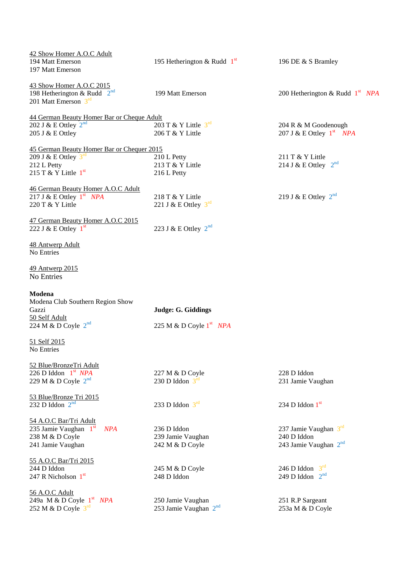| 42 Show Homer A.O.C Adult                                            |                                   |                                   |
|----------------------------------------------------------------------|-----------------------------------|-----------------------------------|
| 194 Matt Emerson<br>197 Matt Emerson                                 | 195 Hetherington & Rudd $1st$     | 196 DE & S Bramley                |
| 43 Show Homer A.O.C 2015                                             |                                   |                                   |
| 198 Hetherington & Rudd $2^{nd}$<br>201 Matt Emerson $3^{\text{rd}}$ | 199 Matt Emerson                  | 200 Hetherington & Rudd $1st$ NPA |
| 44 German Beauty Homer Bar or Cheque Adult                           |                                   |                                   |
| 202 J & E Ottley $2^{nd}$                                            | 203 T & Y Little $3^{\text{rd}}$  | 204 R & M Goodenough              |
| 205 J & E Ottley                                                     | 206 T & Y Little                  | 207 J & E Ottley $1^{st}$ NPA     |
| 45 German Beauty Homer Bar or Chequer 2015                           |                                   |                                   |
| 209 J & E Ottley $3^{\text{rd}}$                                     | 210 L Petty                       | 211 T & Y Little                  |
| 212 L Petty                                                          | 213 T & Y Little                  | 214 J & E Ottley $2^{nd}$         |
| 215 T & Y Little $1st$                                               | 216 L Petty                       |                                   |
| 46 German Beauty Homer A.O.C Adult                                   |                                   |                                   |
| 217 J & E Ottley $1^{st}$ NPA                                        | 218 T & Y Little                  | 219 J & E Ottley $2^{nd}$         |
| 220 T & Y Little                                                     | 221 J & E Ottley $3^{\text{rd}}$  |                                   |
|                                                                      |                                   |                                   |
| 47 German Beauty Homer A.O.C 2015<br>222 J & E Ottley $1st$          | 223 J & E Ottley $2^{nd}$         |                                   |
| 48 Antwerp Adult<br>No Entries                                       |                                   |                                   |
| <u>49 Antwerp 2015</u><br><b>No Entries</b>                          |                                   |                                   |
| Modena                                                               |                                   |                                   |
| Modena Club Southern Region Show                                     |                                   |                                   |
| Gazzi                                                                | Judge: G. Giddings                |                                   |
| 50 Self Adult<br>224 M & D Coyle $2^{nd}$                            | 225 M & D Coyle $1st$ NPA         |                                   |
| 51 Self 2015                                                         |                                   |                                   |
| No Entries                                                           |                                   |                                   |
| 52 Blue/BronzeTri Adult                                              |                                   |                                   |
| 226 D Iddon $1st$ NPA                                                | 227 M & D Coyle                   | 228 D Iddon                       |
| 229 M & D Coyle $2^{nd}$                                             | 230 D Iddon $3^{\text{rd}}$       | 231 Jamie Vaughan                 |
| 53 Blue/Bronze Tri 2015                                              |                                   |                                   |
| 232 D Iddon $2^{nd}$                                                 | 233 D Iddon $3rd$                 | 234 D Iddon $1st$                 |
| 54 A.O.C Bar/Tri Adult                                               |                                   |                                   |
| 235 Jamie Vaughan $1st$<br><b>NPA</b>                                | 236 D Iddon                       | 237 Jamie Vaughan $3^{\text{rd}}$ |
| 238 M & D Coyle                                                      | 239 Jamie Vaughan                 | 240 D Iddon                       |
| 241 Jamie Vaughan                                                    | 242 M & D Coyle                   | 243 Jamie Vaughan $2nd$           |
| 55 A.O.C Bar/Tri 2015                                                |                                   |                                   |
| 244 D Iddon                                                          | 245 M & D Coyle                   | $3^{rd}$<br>246 D Iddon           |
| 247 R Nicholson $1st$                                                | 248 D Iddon                       | $2^{nd}$<br>249 D Iddon           |
| 56 A.O.C Adult                                                       |                                   |                                   |
| 249a M & D Coyle $1st$ NPA                                           | 250 Jamie Vaughan                 | 251 R.P Sargeant                  |
| 252 M & D Coyle $3^{\text{rd}}$                                      | 253 Jamie Vaughan 2 <sup>nd</sup> | 253a M & D Coyle                  |
|                                                                      |                                   |                                   |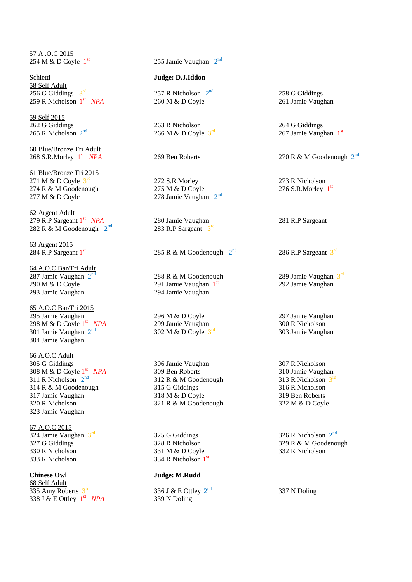57 A .O.C 2015 254 M & D Coyle  $1<sup>st</sup>$ 

Schietti **Judge: D.J.Iddon** 58 Self Adult 256 G Giddings  $3<sup>rd</sup>$ 259 R Nicholson  $1<sup>st</sup>$ 

59 Self 2015 262 G Giddings 263 R Nicholson 264 G Giddings 265 R Nicholson  $2<sup>nd</sup>$ 

60 Blue/Bronze Tri Adult 268 S.R.Morley  $1<sup>st</sup>$ 

61 Blue/Bronze Tri 2015 271 M & D Coyle 3 274 R & M Goodenough 275 M & D Coyle  $277 \text{ M} \& \text{D} \text{Coyle}$  278 Jamie Vaughan  $2^{\text{nd}}$ 

62 Argent Adult 279 R.P Sargeant  $1<sup>st</sup>$ 282 R & M Goodenough  $2^{nd}$ 

63 Argent 2015 284 R.P Sargeant 1st

64 A.O.C Bar/Tri Adult 287 Jamie Vaughan 2 290 M & D Coyle 291 Jamie Vaughan  $1<sup>s</sup>$ 293 Jamie Vaughan 294 Jamie Vaughan

65 A.O.C Bar/Tri 2015 295 Jamie Vaughan 296 M & D Coyle 297 Jamie Vaughan 298 M & D Coyle  $1<sup>st</sup>$ 301 Jamie Vaughan  $2<sup>nd</sup>$ 304 Jamie Vaughan

66 A.O.C Adult 305 G Giddings 306 Jamie Vaughan 307 R Nicholson 308 M & D Coyle  $1<sup>st</sup>$ 311 R Nicholson  $2<sup>nd</sup>$ 314 R & M Goodenough 315 G Giddings 316 R Nicholson 317 Jamie Vaughan 318 M & D Coyle 319 Ben Roberts 320 R Nicholson 321 R & M Goodenough 322 M & D Coyle 323 Jamie Vaughan

67 A.O.C 2015 324 Jamie Vaughan 3rd 333 R Nicholson  $334$  R Nicholson  $1<sup>st</sup>$ 

**Chinese Owl Judge: M.Rudd** 68 Self Adult 335 Amy Roberts  $3<sup>rd</sup>$ 338 J & E Ottley  $1^{st}$ 

 $255$  Jamie Vaughan  $2<sup>nd</sup>$ 

257 R Nicholson  $2<sup>nd</sup>$ 260 M & D Coyle 261 Jamie Vaughan

266 M & D Coyle  $3^{\text{rd}}$ 

272 S.R.Morley 273 R Nicholson

280 Jamie Vaughan 281 R.P Sargeant  $^{nd}$  283 R.P Sargeant  $3^{rd}$ 

285 R & M Goodenough  $2<sup>nd</sup>$ 

nd 288 R & M Goodenough 289 Jamie Vaughan 3<sup>rd</sup>

299 Jamie Vaughan 300 R Nicholson 302 M & D Coyle  $3^{\text{rd}}$ 

 *NPA* 309 Ben Roberts 310 Jamie Vaughan 312 R & M Goodenough

 $325$  G Giddings 326 R Nicholson  $2<sup>nd</sup>$ 330 R Nicholson 331 M & D Coyle 332 R Nicholson

336 J & E Ottley  $2<sup>nd</sup>$ 339 N Doling

258 G Giddings

rd 267 Jamie Vaughan 1<sup>st</sup>

*NPA* 269 Ben Roberts 270 R & M Goodenough 2<sup>nd</sup>

276 S.R.Morley  $1<sup>st</sup>$ 

 $^{nd}$  286 R.P Sargeant  $3^{rd}$ 

292 Jamie Vaughan

303 Jamie Vaughan

313 R Nicholson  $3^{\text{rd}}$ 

327 G Giddings 328 R Nicholson 329 R & M Goodenough<br>330 R Nicholson 331 M & D Covle 332 R Nicholson 332 R Nicholson

337 N Doling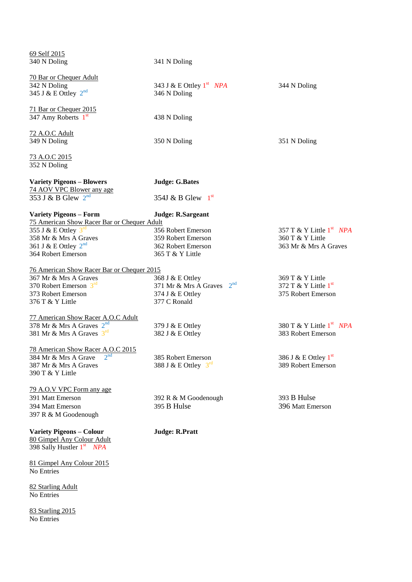| 69 Self 2015<br>340 N Doling                                                 | 341 N Doling                                                 |                            |
|------------------------------------------------------------------------------|--------------------------------------------------------------|----------------------------|
| 70 Bar or Chequer Adult                                                      |                                                              |                            |
| 342 N Doling                                                                 | 343 J & E Ottley $1st$ NPA                                   | 344 N Doling               |
| 345 J & E Ottley $2^{nd}$                                                    | 346 N Doling                                                 |                            |
| 71 Bar or Chequer 2015                                                       |                                                              |                            |
| 347 Amy Roberts 1st                                                          | 438 N Doling                                                 |                            |
| 72 A.O.C Adult                                                               |                                                              |                            |
| 349 N Doling                                                                 | 350 N Doling                                                 | 351 N Doling               |
| 73 A.O.C 2015                                                                |                                                              |                            |
| 352 N Doling                                                                 |                                                              |                            |
| <b>Variety Pigeons - Blowers</b>                                             | <b>Judge: G.Bates</b>                                        |                            |
| 74 AOV VPC Blower any age<br>353 J & B Glew $2^{nd}$                         | 354J & B Glew $1^{\text{st}}$                                |                            |
|                                                                              |                                                              |                            |
| <b>Variety Pigeons - Form</b><br>75 American Show Racer Bar or Chequer Adult | <b>Judge: R.Sargeant</b>                                     |                            |
| 355 J & E Ottley $3^{\text{rd}}$                                             | 356 Robert Emerson                                           | 357 T & Y Little $1st$ NPA |
| 358 Mr & Mrs A Graves                                                        | 359 Robert Emerson                                           | 360 T & Y Little           |
| 361 J & E Ottley $2^{nd}$                                                    | 362 Robert Emerson                                           | 363 Mr & Mrs A Graves      |
| 364 Robert Emerson                                                           | 365 T & Y Little                                             |                            |
| 76 American Show Racer Bar or Chequer 2015                                   |                                                              |                            |
| 367 Mr & Mrs A Graves                                                        |                                                              | 369 T & Y Little           |
| 370 Robert Emerson $3^{\text{rd}}$                                           | 368 J & E Ottley<br>2 <sup>nd</sup><br>371 Mr & Mrs A Graves | 372 T & Y Little $1st$     |
| 373 Robert Emerson                                                           |                                                              | 375 Robert Emerson         |
|                                                                              | 374 J & E Ottley<br>377 C Ronald                             |                            |
| 376 T & Y Little                                                             |                                                              |                            |
| 77 American Show Racer A.O.C Adult                                           |                                                              |                            |
| 378 Mr & Mrs A Graves $2^{nd}$                                               | 379 J & E Ottley                                             | 380 T & Y Little $1st$ NPA |
| 381 Mr & Mrs A Graves $3^{\text{rd}}$                                        | 382 J & E Ottley                                             | 383 Robert Emerson         |
| 78 American Show Racer A.O.C 2015                                            |                                                              |                            |
| $2^{nd}$<br>384 Mr & Mrs A Grave                                             | 385 Robert Emerson                                           | 386 J & E Ottley $1st$     |
| 387 Mr & Mrs A Graves                                                        | 388 J & E Ottley $3^{\text{rd}}$                             | 389 Robert Emerson         |
| 390 T & Y Little                                                             |                                                              |                            |
| 79 A.O.V VPC Form any age                                                    |                                                              |                            |
| 391 Matt Emerson                                                             | 392 R & M Goodenough                                         | 393 B Hulse                |
| 394 Matt Emerson                                                             | 395 B Hulse                                                  | 396 Matt Emerson           |
| 397 R & M Goodenough                                                         |                                                              |                            |
| <b>Variety Pigeons - Colour</b>                                              | <b>Judge: R.Pratt</b>                                        |                            |
| 80 Gimpel Any Colour Adult                                                   |                                                              |                            |
| 398 Sally Hustler 1st NPA                                                    |                                                              |                            |
| 81 Gimpel Any Colour 2015                                                    |                                                              |                            |
| No Entries                                                                   |                                                              |                            |
| 82 Starling Adult                                                            |                                                              |                            |
| No Entries                                                                   |                                                              |                            |
| 83 Starling 2015                                                             |                                                              |                            |
| No Entries                                                                   |                                                              |                            |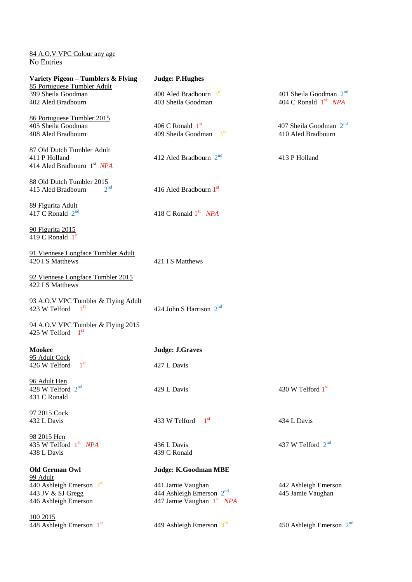84 A.O.V VPC Colour any age No Entries

| Variety Pigeon - Tumblers & Flying<br>85 Portuguese Tumbler Adult | <b>Judge: P.Hughes</b>                |                                  |
|-------------------------------------------------------------------|---------------------------------------|----------------------------------|
| 399 Sheila Goodman                                                | 400 Aled Bradbourn $3^{\text{rd}}$    | 401 Sheila Goodman $2nd$         |
| 402 Aled Bradbourn                                                | 403 Sheila Goodman                    | 404 C Ronald 1 <sup>st</sup> NPA |
| 86 Portuguese Tumbler 2015                                        |                                       |                                  |
| 405 Sheila Goodman                                                | 406 C Ronald $1st$                    | 407 Sheila Goodman $2^{nd}$      |
|                                                                   | $3^{rd}$                              |                                  |
| 408 Aled Bradbourn                                                | 409 Sheila Goodman                    | 410 Aled Bradbourn               |
| 87 Old Dutch Tumbler Adult                                        |                                       |                                  |
| 411 P Holland                                                     | 412 Aled Bradbourn $2^{nd}$           | 413 P Holland                    |
| 414 Aled Bradbourn 1 <sup>st</sup> NPA                            |                                       |                                  |
| 88 Old Dutch Tumbler 2015                                         |                                       |                                  |
| $2^{nd}$<br>415 Aled Bradbourn                                    | 416 Aled Bradbourn 1st                |                                  |
|                                                                   |                                       |                                  |
| 89 Figurita Adult                                                 |                                       |                                  |
| 417 C Ronald $2^{nd}$                                             | 418 C Ronald 1 <sup>st</sup> NPA      |                                  |
| 90 Figurita 2015                                                  |                                       |                                  |
| 419 C Ronald $1st$                                                |                                       |                                  |
|                                                                   |                                       |                                  |
| 91 Viennese Longface Tumbler Adult                                |                                       |                                  |
| 420 I S Matthews                                                  | 421 I S Matthews                      |                                  |
| 92 Viennese Longface Tumbler 2015                                 |                                       |                                  |
| 422 I S Matthews                                                  |                                       |                                  |
|                                                                   |                                       |                                  |
| 93 A.O.V VPC Tumbler & Flying Adult                               |                                       |                                  |
| 1 <sup>st</sup><br>423 W Telford                                  | 424 John S Harrison $2nd$             |                                  |
| 94 A.O.V VPC Tumbler & Flying 2015                                |                                       |                                  |
| 425 W Telford<br>1 <sup>st</sup>                                  |                                       |                                  |
|                                                                   |                                       |                                  |
| <b>Mookee</b>                                                     | <b>Judge: J.Graves</b>                |                                  |
| 95 Adult Cock                                                     |                                       |                                  |
| 1 <sup>st</sup><br>426 W Telford                                  | 427 L Davis                           |                                  |
| 96 Adult Hen                                                      |                                       |                                  |
| 428 W Telford 2 <sup>nd</sup>                                     | 429 L Davis                           | 430 W Telford 1st                |
| 431 C Ronald                                                      |                                       |                                  |
| 97 2015 Cock                                                      |                                       |                                  |
| 432 L Davis                                                       | 1 <sup>st</sup><br>433 W Telford      | 434 L Davis                      |
|                                                                   |                                       |                                  |
| 98 2015 Hen                                                       |                                       |                                  |
| 435 W Telford $1st$ NPA                                           | 436 L Davis                           | 437 W Telford 2 <sup>nd</sup>    |
| 438 L Davis                                                       | 439 C Ronald                          |                                  |
| <b>Old German Owl</b>                                             | <b>Judge: K.Goodman MBE</b>           |                                  |
| <u>99 Adult</u>                                                   |                                       |                                  |
| 440 Ashleigh Emerson $3rd$                                        | 441 Jamie Vaughan                     | 442 Ashleigh Emerson             |
| 443 JV & SJ Gregg                                                 | 444 Ashleigh Emerson $2nd$            | 445 Jamie Vaughan                |
| 446 Ashleigh Emerson                                              | 447 Jamie Vaughan 1 <sup>st</sup> NPA |                                  |
|                                                                   |                                       |                                  |
| 100 2015                                                          |                                       |                                  |
| 448 Ashleigh Emerson 1st                                          | 449 Ashleigh Emerson $3rd$            | 450 Ashleigh Emerson $2nd$       |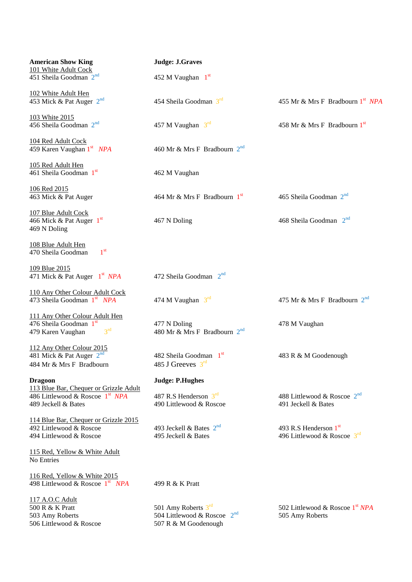| <b>American Show King</b><br>101 White Adult Cock                                                            | <b>Judge: J.Graves</b>                                                            |                                                                  |
|--------------------------------------------------------------------------------------------------------------|-----------------------------------------------------------------------------------|------------------------------------------------------------------|
| 451 Sheila Goodman $2nd$                                                                                     | 452 M Vaughan $1st$                                                               |                                                                  |
| 102 White Adult Hen<br>453 Mick & Pat Auger 2 <sup>nd</sup>                                                  | 454 Sheila Goodman $3^{\text{rd}}$                                                | 455 Mr & Mrs F Bradbourn 1 <sup>st</sup> NPA                     |
| 103 White 2015<br>456 Sheila Goodman $2nd$                                                                   | 457 M Vaughan $3^{\text{rd}}$                                                     | 458 Mr & Mrs F Bradbourn 1st                                     |
| 104 Red Adult Cock<br>459 Karen Vaughan 1 <sup>st</sup> NPA                                                  | 460 Mr & Mrs F Bradbourn $2^{nd}$                                                 |                                                                  |
| 105 Red Adult Hen<br>461 Sheila Goodman 1st                                                                  | 462 M Vaughan                                                                     |                                                                  |
| <u>106 Red 2015</u><br>463 Mick & Pat Auger                                                                  | 464 Mr & Mrs F Bradbourn $1st$                                                    | 465 Sheila Goodman $2nd$                                         |
| 107 Blue Adult Cock<br>466 Mick & Pat Auger $1st$<br>469 N Doling                                            | 467 N Doling                                                                      | 468 Sheila Goodman $2nd$                                         |
| 108 Blue Adult Hen<br>1 <sup>st</sup><br>470 Sheila Goodman                                                  |                                                                                   |                                                                  |
| 109 Blue 2015<br>471 Mick & Pat Auger 1 <sup>st</sup> NPA                                                    | 472 Sheila Goodman 2 <sup>nd</sup>                                                |                                                                  |
| 110 Any Other Colour Adult Cock<br>473 Sheila Goodman 1st NPA                                                | 474 M Vaughan $3^{\text{rd}}$                                                     | 475 Mr & Mrs F Bradbourn $2^{nd}$                                |
| 111 Any Other Colour Adult Hen<br>476 Sheila Goodman 1st<br>3 <sup>rd</sup><br>479 Karen Vaughan             | 477 N Doling<br>480 Mr & Mrs F Bradbourn $2^{nd}$                                 | 478 M Vaughan                                                    |
| 112 Any Other Colour 2015<br>481 Mick & Pat Auger $2^{nd}$<br>484 Mr & Mrs F Bradbourn                       | 482 Sheila Goodman $1st$<br>485 J Greeves $3^{\text{rd}}$                         | 483 R & M Goodenough                                             |
| <b>Dragoon</b>                                                                                               | <b>Judge: P.Hughes</b>                                                            |                                                                  |
| 113 Blue Bar, Chequer or Grizzle Adult<br>486 Littlewood & Roscoe 1 <sup>st</sup> NPA<br>489 Jeckell & Bates | 487 R.S Henderson $3^{\text{rd}}$<br>490 Littlewood & Roscoe                      | 488 Littlewood & Roscoe 2 <sup>nd</sup><br>491 Jeckell & Bates   |
| 114 Blue Bar, Chequer or Grizzle 2015<br>492 Littlewood & Roscoe<br>494 Littlewood & Roscoe                  | 493 Jeckell & Bates $2^{nd}$<br>495 Jeckell & Bates                               | 493 R.S Henderson 1st<br>496 Littlewood & Roscoe $3^{\text{rd}}$ |
| 115 Red, Yellow & White Adult<br>No Entries                                                                  |                                                                                   |                                                                  |
| 116 Red, Yellow & White 2015<br>498 Littlewood & Roscoe 1 <sup>st</sup> NPA                                  | 499 R & K Pratt                                                                   |                                                                  |
| 117 A.O.C Adult<br>500 R & K Pratt<br>503 Amy Roberts<br>506 Littlewood & Roscoe                             | 501 Amy Roberts $3rd$<br>504 Littlewood & Roscoe $2^{nd}$<br>507 R & M Goodenough | 502 Littlewood & Roscoe 1 <sup>st</sup> NPA<br>505 Amy Roberts   |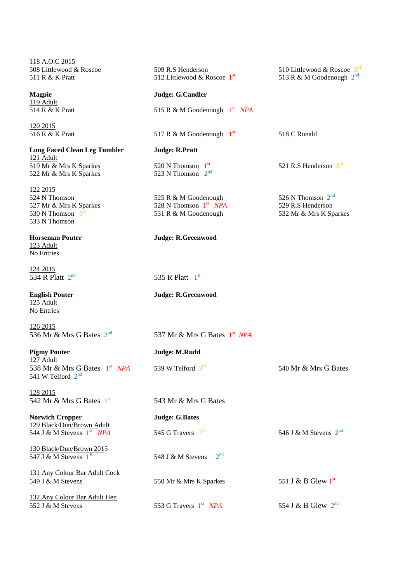118 A.O.C 2015 508 Littlewood & Roscoe 511 R & K Pratt

**Magpie** 119 Adult 514 R & K Pratt

120 2015 516 R & K Pratt

**Long Faced Clean Leg Tumbler** 121 Adult 519 Mr & Mrs K Sparkes 522 Mr & Mrs K Sparkes

122 2015 524 N Thomson 527 Mr & Mrs K Sparkes 530 N Thomson  $3^{\pi}$ 533 N Thomson

**Horseman Pouter Judge: R.Greenwood** 123 Adult No Entries

124 2015 534 R Platt 2<sup>nd</sup>

125 Adult No Entries

126 2015 536 Mr & Mrs G Bates 2<sup>nd</sup>

**Pigmy Pouter Judge: M.Rudd** 127 Adult 538 Mr & Mrs G Bates  $1<sup>st</sup>$ 541 W Telford  $2<sup>nd</sup>$ 

128 2015 542 Mr & Mrs G Bates 1st

**Norwich Cropper Judge: G.Bates** 129 Black/Dun/Brown Adult 544 J & M Stevens  $1^{\text{st}}$ 

130 Black/Dun/Brown 2015 547 J & M Stevens  $1<sup>st</sup>$ 

131 Any Colour Bar Adult Cock

132 Any Colour Bar Adult Hen 552 J & M Stevens

| 509 R.S Henderson<br>512 Littlewood & Roscoe $1st$                      | 510 Littlewood & Roscoe $3^{rd}$<br>513 R & M Goodenough $2^{\text{nd}}$ |
|-------------------------------------------------------------------------|--------------------------------------------------------------------------|
| Judge: G.Candler                                                        |                                                                          |
| 515 R & M Goodenough $1st$ NPA                                          |                                                                          |
| 1 <sup>st</sup><br>517 R & M Goodenough                                 | 518 C Ronald                                                             |
| Judge: R.Pratt                                                          |                                                                          |
| 520 N Thomson $1st$<br>523 N Thomson $2nd$                              | 521 R.S Henderson $3^{\text{rd}}$                                        |
| 525 R & M Goodenough<br>528 N Thomson $1st$ NPA<br>531 R & M Goodenough | 526 N Thomson $2nd$<br>529 R.S Henderson<br>532 Mr & Mrs K Sparkes       |
|                                                                         |                                                                          |

 $_{\text{nd}}$  535 R Platt 1<sup>st</sup>

**English Pouter Judge: R.Greenwood**

nd 537 Mr & Mrs G Bates 1 st *NPA*

539 W Telford 3<sup>rd</sup>

543 Mr & Mrs G Bates

*NPA* 545 G Travers  $3^{rd}$ 546 J & M Stevens  $2^{nd}$ 548 J & M Stevens  $2<sup>nd</sup>$ 549 J & M Stevens 550 Mr & Mrs K Sparkes 551 J & B Glew  $1^{st}$ 

553 G Travers 1st NPA

540 Mr  $\&$  Mrs G Bates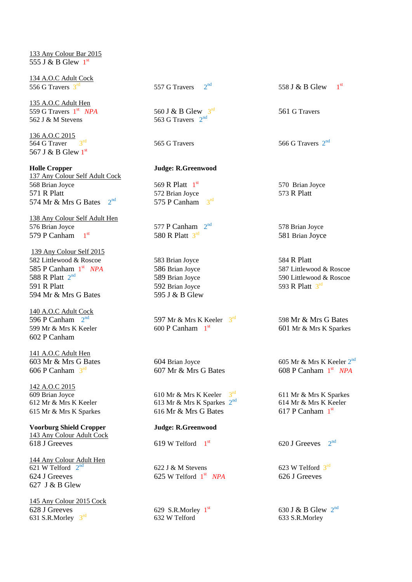133 Any Colour Bar 2015 555 J & B Glew  $1^{\text{st}}$ 

134 A.O.C Adult Cock 556 G Travers 3<sup>rd</sup>

135 A.O.C Adult Hen 559 G Travers  $1^{\text{st}}$ 562 J  $&$  M Stevens

136 A.O.C 2015  $\overline{564 \text{ G Traver}}$   $3^{\text{rd}}$ 567 J & B Glew 1st

**Holle Cropper Judge: R.Greenwood** 137 Any Colour Self Adult Cock 568 Brian Joyce 569 R Platt 1st 571 R Platt 572 Brian Joyce 573 R Platt 574 Mr  $\&$  Mrs G Bates  $2<sup>nd</sup>$ 

138 Any Colour Self Adult Hen 576 Brian Joyce 577 P Canham  $2^{nd}$ 579 P Canham  $1<sup>st</sup>$ 

139 Any Colour Self 2015 582 Littlewood & Roscoe 583 Brian Joyce 584 R Platt 585 P Canham  $1<sup>st</sup>$ 588 R Platt 2<sup>nd</sup> 591 R Platt 592 Brian Joyce 594 Mr & Mrs G Bates 595 J & B Glew

140 A.O.C Adult Cock 596 P Canham  $2<sup>nd</sup>$ 599 Mr & Mrs K Keeler 600 P Canham  $1<sup>st</sup>$ 602 P Canham

141 A.O.C Adult Hen 603 Mr & Mrs G Bates 604 Brian Joyce 605 Mr & Mrs K Keeler  $2^{nd}$ 606 P Canham  $3<sup>rd</sup>$ 

142 A.O.C 2015 609 Brian Joyce 610 Mr & Mrs K Keeler  $3<sup>rd</sup>$ 

**Voorburg Shield Cropper Judge: R.Greenwood** 143 Any Colour Adult Cock 618 J Greeves 619 W Telford  $1<sup>st</sup>$ 

144 Any Colour Adult Hen 621 W Telford  $2^n$  $624$  J Greeves 625 W Telford  $1<sup>st</sup>$ 627 J & B Glew

145 Any Colour 2015 Cock 628 J Greeves 629 S.R.Morley  $1^{st}$ 631 S.R.Morley  $3^{\text{rd}}$ 

557 G Travers  $2<sup>nd</sup>$ 

560 J & B Glew 3<sup>rd</sup> 563 G Travers  $2<sup>nd</sup>$ 

 $^{nd}$  575 P Canham  $3^{rd}$ 

580 R Platt  $3^{rd}$ 

597 Mr & Mrs K Keeler  $3^{\text{rd}}$ 

 $607$  Mr  $\&$  Mrs G Bates

612 Mr & Mrs K Keeler 613 Mr & Mrs K Sparkes  $2^{\text{nd}}$ 615 Mr & Mrs K Sparkes 616 Mr & Mrs G Bates

 $622$  J & M Stevens

632 W Telford 633 S.R.Morley

558 J & B Glew st

561 G Travers

 $565$  G Travers  $566$  G Travers  $2<sup>nd</sup>$ 

570 Brian Joyce

578 Brian Joyce 581 Brian Joyce

**586 Brian Joyce 587 Littlewood & Roscoe** 589 Brian Joyce 590 Littlewood & Roscoe 593 R Platt  $3^{rd}$ 

> 598 Mr & Mrs G Bates 601 Mr & Mrs K Sparkes

st *NPA*

611 Mr & Mrs K Sparkes 614 Mr & Mrs K Keeler 617 P Canham 1st

 $5^{\text{st}}$  620 J Greeves  $2^{\text{nd}}$ 

623 W Telford  $3^{\text{rd}}$ *NPA* 626 J Greeves

 $\frac{\text{st}}{\text{S30 J}}$ & B Glew  $2^{\text{nd}}$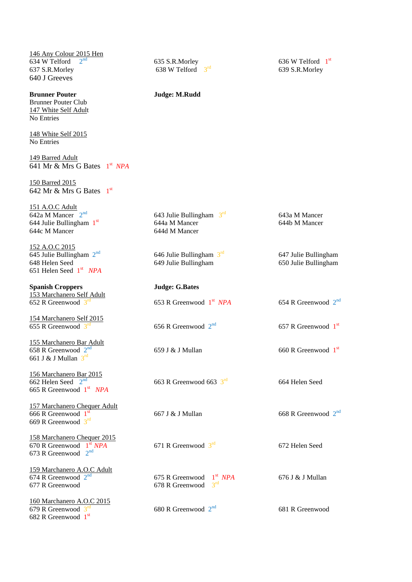146 Any Colour 2015 Hen 634 W Telford  $2^n$ 637 S.R.Morley 638 W Telford  $3<sup>rd</sup>$ 640 J Greeves

**Brunner Pouter Judge: M.Rudd** Brunner Pouter Club 147 White Self Adult No Entries

148 White Self 2015 No Entries

149 Barred Adult 641 Mr & Mrs G Bates 1 st *NPA*

150 Barred 2015 642 Mr & Mrs G Bates  $1<sup>st</sup>$ 

151 A.O.C Adult 642a M Mancer  $2<sup>nd</sup>$ 643 Julie Bullingham  $3^{\text{rd}}$ 643a M Mancer 644 Julie Bullingham  $1<sup>st</sup>$ st 644a M Mancer 644b M Mancer 644c M Mancer 644d M Mancer 152 A.O.C 2015 645 Julie Bullingham  $2<sup>nd</sup>$ 646 Julie Bullingham  $3<sup>rd</sup>$ 647 Julie Bullingham<br>650 Julie Bullingham 648 Helen Seed 649 Julie Bullingham 651 Helen Seed 1 st *NPA* **Spanish Croppers Judge: G.Bates** 153 Marchanero Self Adult 652 R Greenwood 3 653 R Greenwood  $1<sup>st</sup> NPA$  $NPA$  654 R Greenwood  $2^{nd}$ 154 Marchanero Self 2015 655 R Greenwood 3 656 R Greenwood  $2<sup>nd</sup>$ nd 657 R Greenwood 1<sup>st</sup> 155 Marchanero Bar Adult 658 R Greenwood 2  $\frac{1}{\text{nd}}$  659 J & J Mullan 660 R Greenwood  $1^{\text{st}}$ 661 J & J Mullan  $3^{rd}$ 156 Marchanero Bar 2015  $\overline{662}$  Helen Seed  $2^{\text{nd}}$ 663 R Greenwood 663  $3<sup>rd</sup>$ 664 Helen Seed 665 R Greenwood 1 st *NPA* 157 Marchanero Chequer Adult 666 R Greenwood  $1<sup>st</sup>$  $\frac{1}{\sqrt{3}}$  667 J & J Mullan 668 R Greenwood  $2^{\text{nd}}$ 669 R Greenwood 3rd 158 Marchanero Chequer 2015 670 R Greenwood  $1^{\text{st}}$  NPA 671 R Greenwood  $3<sup>rd</sup>$ 672 Helen Seed 673 R Greenwood  $2<sup>nd</sup>$ 159 Marchanero A.O.C Adult 674 R Greenwood  $2^{nd}$ 675 R Greenwood  $1<sup>st</sup> NPA$ 676 J & J Mullan 677 R Greenwood 678 R Greenwood 3  $3<sup>rd</sup>$ 160 Marchanero A.O.C 2015 679 R Greenwood  $3<sup>n</sup>$ 680 R Greenwood  $2<sup>nd</sup>$ 681 R Greenwood

682 R Greenwood 1st

nd 635 S.R.Morley 636 W Telford 1<sup>st</sup>

639 S.R.Morley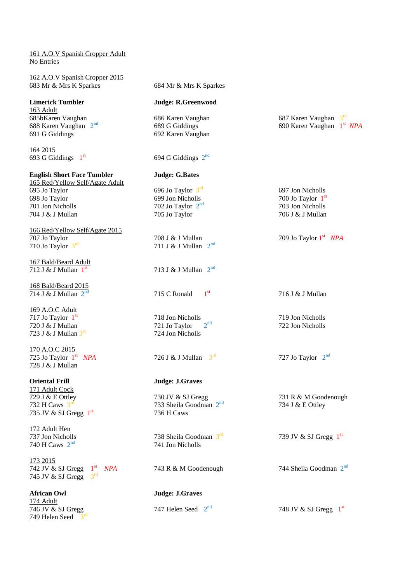### 161 A.O.V Spanish Cropper Adult No Entries

| 162 A.O.V Spanish Cropper 2015<br>683 Mr & Mrs K Sparkes             | 684 Mr & Mrs K Sparkes              |                                          |
|----------------------------------------------------------------------|-------------------------------------|------------------------------------------|
| <b>Limerick Tumbler</b>                                              | <b>Judge: R.Greenwood</b>           |                                          |
| <b>163 Adult</b>                                                     |                                     |                                          |
| 685bKaren Vaughan                                                    | 686 Karen Vaughan                   | 687 Karen Vaughan 3rd                    |
| 688 Karen Vaughan 2 <sup>nd</sup>                                    | 689 G Giddings                      | 690 Karen Vaughan 1 <sup>st</sup> NPA    |
| 691 G Giddings                                                       | 692 Karen Vaughan                   |                                          |
| 164 2015                                                             |                                     |                                          |
| 693 G Giddings $1st$                                                 | 694 G Giddings $2nd$                |                                          |
| <b>English Short Face Tumbler</b><br>165 Red/Yellow Self/Agate Adult | <b>Judge: G.Bates</b>               |                                          |
| 695 Jo Taylor                                                        | 696 Jo Taylor $3^{\text{rd}}$       | 697 Jon Nicholls                         |
| 698 Jo Taylor                                                        | 699 Jon Nicholls                    | 700 Jo Taylor $1st$                      |
| 701 Jon Nicholls                                                     | 702 Jo Taylor $2nd$                 | 703 Jon Nicholls                         |
| 704 J & J Mullan                                                     | 705 Jo Taylor                       | 706 J & J Mullan                         |
| 166 Red/Yellow Self/Agate 2015                                       |                                     |                                          |
| 707 Jo Taylor                                                        | 708 J & J Mullan                    | 709 Jo Taylor $1st$ NPA                  |
| 710 Jo Taylor $3^{\text{rd}}$                                        | 2 <sup>nd</sup><br>711 J & J Mullan |                                          |
| 167 Bald/Beard Adult                                                 |                                     |                                          |
| 712 J & J Mullan $1st$                                               | 713 J & J Mullan $2^{nd}$           |                                          |
| 168 Bald/Beard 2015                                                  |                                     |                                          |
| 714 J & J Mullan $2^{nd}$                                            | 1 <sup>st</sup><br>715 C Ronald     | 716 J & J Mullan                         |
| 169 A.O.C Adult                                                      |                                     |                                          |
| 717 Jo Taylor $1st$                                                  | 718 Jon Nicholls                    | 719 Jon Nicholls                         |
| 720 J & J Mullan                                                     | $2^{nd}$<br>721 Jo Taylor           | 722 Jon Nicholls                         |
| 723 J & J Mullan 3rd                                                 | 724 Jon Nicholls                    |                                          |
| 170 A.O.C 2015                                                       |                                     |                                          |
| 725 Jo Taylor $1st$ NPA                                              | 3 <sup>rd</sup><br>726 J & J Mullan | 727 Jo Taylor $2nd$                      |
| 728 J & J Mullan                                                     |                                     |                                          |
| <b>Oriental Frill</b>                                                | <b>Judge: J.Graves</b>              |                                          |
| 171 Adult Cock                                                       | 730 JV & SJ Gregg                   |                                          |
| 729 J & E Ottley<br>732 H Caws $3^{\text{rd}}$                       | 733 Sheila Goodman 2 <sup>nd</sup>  | 731 R & M Goodenough<br>734 J & E Ottley |
| 735 JV & SJ Gregg $1st$                                              | 736 H Caws                          |                                          |
| 172 Adult Hen                                                        |                                     |                                          |
| 737 Jon Nicholls                                                     | 738 Sheila Goodman $3^{\text{rd}}$  | 739 JV & SJ Gregg $1st$                  |
| 740 H Caws $2nd$                                                     | 741 Jon Nicholls                    |                                          |
| 173 2015                                                             |                                     |                                          |
| 742 JV & SJ Gregg $1st$ NPA                                          | 743 R & M Goodenough                | 744 Sheila Goodman $2nd$                 |
| 745 JV & SJ Gregg $3^{\text{rd}}$                                    |                                     |                                          |
| <b>African Owl</b>                                                   | <b>Judge: J.Graves</b>              |                                          |
| 174 Adult                                                            |                                     |                                          |
| 746 JV & SJ Gregg                                                    | 747 Helen Seed $2nd$                | 748 JV & SJ Gregg $1st$                  |
| 749 Helen Seed $3rd$                                                 |                                     |                                          |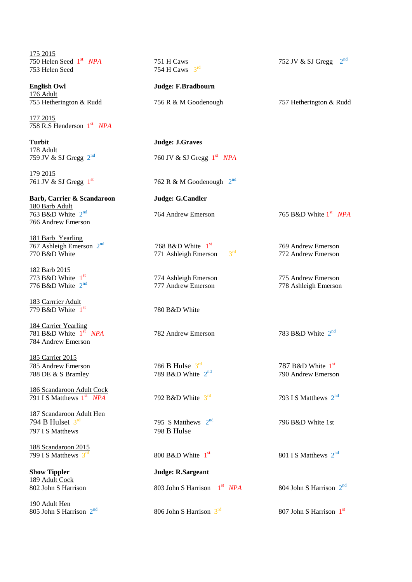175 2015 750 Helen Seed 1st  $753$  Helen Seed  $754$  H Caws  $3^{rd}$ 

**English Owl Judge: F.Bradbourn** 176 Adult 755 Hetherington & Rudd 756 R & M Goodenough 757 Hetherington & Rudd

177 2015 758 R.S Henderson 1 st *NPA*

**Turbit Judge: J.Graves** 178 Adult 759 JV  $\&$  SJ Gregg  $2^{nd}$ 

179 2015 761 JV & SJ Gregg  $1<sup>st</sup>$ 

**Barb, Carrier & Scandaroon Judge: G.Candler** 180 Barb Adult 763 B&D White 2 766 Andrew Emerson

181 Barb Yearling 767 Ashleigh Emerson  $2<sup>nd</sup>$ 770 B&D White 771 Ashleigh Emerson

182 Barb 2015 773 B&D White  $1<sup>st</sup>$ 776 B&D White  $2^{nd}$ 

183 Carrrier Adult 779 B&D White  $1<sup>st</sup>$ 

184 Carrier Yearling 781 B&D White  $1^{\text{st}}$ 784 Andrew Emerson

185 Carrier 2015 785 Andrew Emerson 786 B Hulse  $3^{\text{rd}}$ <br>788 DE & S Bramley 789 B&D White  $2^{\text{nd}}$ 788 DE & S Bramley

186 Scandaroon Adult Cock 791 I S Matthews 1st

187 Scandaroon Adult Hen 794 B HulseI  $3<sup>rd</sup>$ 797 I S Matthews 798 B Hulse

188 Scandaroon 2015 799 I S Matthews  $3<sup>r</sup>$ 

**Show Tippler Judge: R.Sargeant** 189 Adult Cock

190 Adult Hen  $805$  John S Harrison  $2<sup>nd</sup>$ 

*NPA* 751 H Caws 752 JV & SJ Gregg  $2^{nd}$ 

nd 760 JV & SJ Gregg 1 st *NPA*

 $762 \text{ R} \& \text{ M}$  Goodenough  $2^{\text{nd}}$ 

764 Andrew Emerson

768 B&D White  $1<sup>st</sup>$ 

780 B&D White

**782 Andrew Emerson** 

792 B&D White  $3^{\text{rd}}$ 

795 S Matthews  $2<sup>nd</sup>$ 

800 B&D White  $1<sup>st</sup>$ 

802 John S Harrison 803 John S Harrison 1st NPA

806 John S Harrison  $3<sup>rd</sup>$ 

 $3<sup>rd</sup>$  769 Andrew Emerson<br>772 Andrew Emerson 772 Andrew Emerson

st *NPA*

374 Ashleigh Emerson<br>
277 Andrew Emerson<br>
278 Ashleigh Emerson 778 Ashleigh Emerson

783 B&D White 2<sup>nd</sup>

 $787$  B&D White  $1^{\text{st}}$ 790 Andrew Emerson

 $\frac{rd}{193}$  I S Matthews  $2^{nd}$ 

796 B&D White 1st

 $\frac{\text{st}}{\text{10}}$  801 I S Matthews  $2^{\text{nd}}$ 

<sup>st</sup> *NPA* 804 John S Harrison 2<sup>nd</sup>

rd 807 John S Harrison 1<sup>st</sup>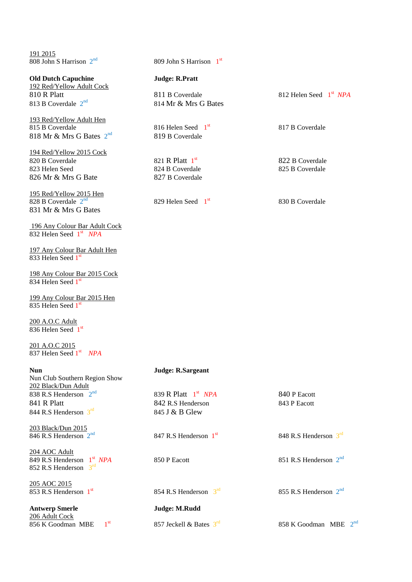191 2015 808 John S Harrison 2

**Old Dutch Capuchine Judge: R.Pratt** 192 Red/Yellow Adult Cock 810 R Platt **811 B Coverdale** 812 Helen Seed 1<sup>st</sup> NPA 813 B Coverdale  $2^{nd}$ 

193 Red/Yellow Adult Hen 815 B Coverdale 816 Helen Seed 1st 818 Mr & Mrs G Bates 2

194 Red/Yellow 2015 Cock 820 B Coverdale 821 R Platt  $1<sup>st</sup>$ 823 Helen Seed 824 B Coverdale 825 B Coverdale 826 Mr & Mrs G Bate 827 B Coverdale

195 Red/Yellow 2015 Hen 828 B Coverdale  $2^{n}$ 831 Mr & Mrs G Bates

196 Any Colour Bar Adult Cock 832 Helen Seed 1 st *NPA*

197 Any Colour Bar Adult Hen 833 Helen Seed 1st

198 Any Colour Bar 2015 Cock 834 Helen Seed 1st

199 Any Colour Bar 2015 Hen 835 Helen Seed 1st

200 A.O.C Adult 836 Helen Seed 1st

201 A.O.C 2015 837 Helen Seed 1 st *NPA*

| <b>Nun</b>                                                                 | Judge: R.Sargeant                   |                               |
|----------------------------------------------------------------------------|-------------------------------------|-------------------------------|
| Nun Club Southern Region Show                                              |                                     |                               |
| 202 Black/Dun Adult                                                        |                                     |                               |
| 838 R.S Henderson $2nd$                                                    | 839 R Platt $1st$ NPA               | 840 P Eacott                  |
| 841 R Platt                                                                | 842 R.S Henderson                   | 843 P Eacott                  |
| 844 R.S Henderson $3^{\text{rd}}$                                          | 845 J & B Glew                      |                               |
| 203 Black/Dun 2015                                                         |                                     |                               |
| 846 R.S Henderson $2^{nd}$                                                 | 847 R.S Henderson $1st$             | 848 R.S Henderson $3rd$       |
| 204 AOC Adult                                                              |                                     |                               |
| 849 R.S Henderson 1 <sup>st</sup> NPA<br>852 R.S Henderson $3^{\text{rd}}$ | 850 P Eacott                        | 851 R.S Henderson $2^{nd}$    |
|                                                                            |                                     |                               |
| 205 AOC 2015                                                               |                                     |                               |
| 853 R.S Henderson $1st$                                                    | 854 R.S Henderson $3^{\text{rd}}$   | 855 R.S Henderson $2^{na}$    |
| <b>Antwerp Smerle</b>                                                      | Judge: M.Rudd                       |                               |
| 206 Adult Cock                                                             |                                     |                               |
| 1 <sup>st</sup><br>856 K Goodman MBE                                       | 857 Jeckell & Bates $3^{\text{rd}}$ | $2^{nd}$<br>858 K Goodman MBE |

nd 809 John S Harrison 1st

814 Mr & Mrs G Bates

819 B Coverdale

829 Helen Seed  $1<sup>st</sup>$ 

817 B Coverdale

822 B Coverdale

830 B Coverdale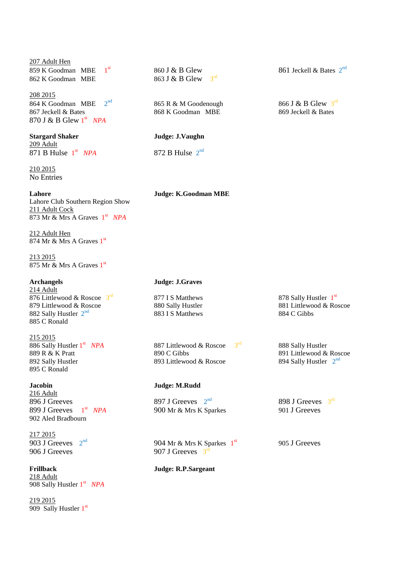## 207 Adult Hen 859 K Goodman MBE 1 862 K Goodman MBE 863 J & B Glew

208 2015 864 K Goodman MBE  $2<sup>nd</sup>$ <br>867 Jeckell & Bates 870 J & B Glew 1 st *NPA*

## **Stargard Shaker Judge: J.Vaughn** 209 Adult 871 B Hulse  $1<sup>st</sup>$

210 2015 No Entries

**Lahore Judge: K.Goodman MBE** Lahore Club Southern Region Show 211 Adult Cock 873 Mr & Mrs A Graves 1 st *NPA*

212 Adult Hen 874 Mr & Mrs A Graves 1<sup>st</sup>

213 2015 875 Mr & Mrs A Graves 1<sup>st</sup>

214 Adult 876 Littlewood & Roscoe  $3^{\text{rd}}$ 879 Littlewood & Roscoe 880 Sally Hustler 881 Littlewood & Roscoe 882 Sally Hustler 882 Sally Hustler 882 Sally Hustler 882 Sally Hustler 884 C Gibbs 882 Sally Hustler  $2^{nd}$ 885 C Ronald

215 2015 886 Sally Hustler 1st 895 C Ronald

216 Adult 896 J Greeves 897 J Greeves  $2<sup>nd</sup>$ 899 J Greeves  $1<sup>st</sup>$ 902 Aled Bradbourn

217 2015 903 J Greeves  $2<sup>nd</sup>$ 906 J Greeves  $907$  J Greeves  $3<sup>rd</sup>$ 

# 218 Adult

908 Sally Hustler 1 st *NPA*

219 2015 909 Sally Hustler 1<sup>st</sup>  $3<sup>rd</sup>$ 

nd 865 R & M Goodenough 866 J & B Glew 3<sup>1</sup> 868 K Goodman MBE 869 Jeckell & Bates 868 K Goodman MBE

*NPA* 872 B Hulse  $2^{nd}$ 

**Archangels Judge: J.Graves**

883 I S Matthews

887 Littlewood & Roscoe 3rd 889 R & K Pratt 890 C Gibbs 890 C Gibbs 891 Littlewood & Roscoe 892 Sally Hustler  $392$  Sally Hustler 893 Littlewood & Roscoe

## **Jacobin Judge: M.Rudd**

900 Mr & Mrs K Sparkes 901 J Greeves

904 Mr & Mrs K Sparkes  $1<sup>st</sup>$ 

**Frillback Judge: R.P.Sargeant**

<sup>st</sup> 860 J & B Glew 861 Jeckell & Bates 2<sup>nd</sup>

866 J & B Glew  $3^{\text{rd}}$ 

<sup>rd</sup> 877 I S Matthews 878 Sally Hustler 1<sup>st</sup>

 888 Sally Hustler 894 Sally Hustler  $2^{nd}$ 

nd 898 J Greeves  $3^{\text{rd}}$ 

905 J Greeves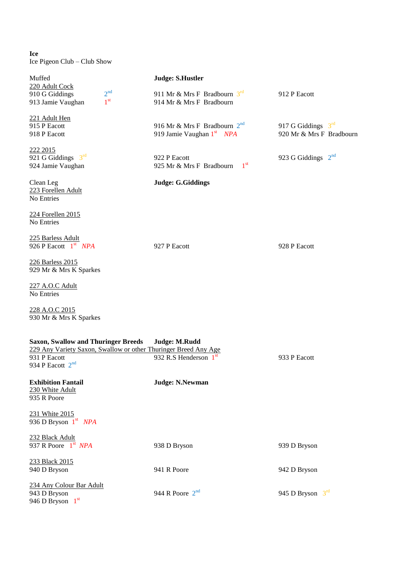**Ice** Ice Pigeon Club – Club Show

| Muffed<br>220 Adult Cock                                                  | <b>Judge: S.Hustler</b>                                                                    |                                                  |
|---------------------------------------------------------------------------|--------------------------------------------------------------------------------------------|--------------------------------------------------|
| 2 <sup>nd</sup><br>910 G Giddings<br>1 <sup>st</sup><br>913 Jamie Vaughan | 911 Mr & Mrs F Bradbourn $3^{\text{rd}}$<br>914 Mr & Mrs F Bradbourn                       | 912 P Eacott                                     |
| 221 Adult Hen<br>915 P Eacott<br>918 P Eacott                             | 916 Mr & Mrs F Bradbourn $2^{nd}$<br>919 Jamie Vaughan 1 <sup>st</sup> NPA                 | 917 G Giddings $3rd$<br>920 Mr & Mrs F Bradbourn |
| 222 2015<br>921 G Giddings $3rd$<br>924 Jamie Vaughan                     | 922 P Eacott<br>1 <sup>st</sup><br>925 Mr & Mrs F Bradbourn                                | 923 G Giddings 2 <sup>nd</sup>                   |
| Clean Leg<br>223 Forellen Adult<br>No Entries                             | <b>Judge: G.Giddings</b>                                                                   |                                                  |
| 224 Forellen 2015<br>No Entries                                           |                                                                                            |                                                  |
| 225 Barless Adult<br>926 P Eacott $1st$ NPA                               | 927 P Eacott                                                                               | 928 P Eacott                                     |
| 226 Barless 2015<br>929 Mr & Mrs K Sparkes                                |                                                                                            |                                                  |
| 227 A.O.C Adult<br>No Entries                                             |                                                                                            |                                                  |
| 228 A.O.C 2015<br>930 Mr & Mrs K Sparkes                                  |                                                                                            |                                                  |
| <b>Saxon, Swallow and Thuringer Breeds</b>                                | Judge: M.Rudd                                                                              |                                                  |
| 931 P Eacott<br>934 P Eacott $2^{nd}$                                     | 229 Any Variety Saxon, Swallow or other Thuringer Breed Any Age<br>932 R.S Henderson $1st$ | 933 P Eacott                                     |
| <b>Exhibition Fantail</b><br>230 White Adult<br>935 R Poore               | <b>Judge: N.Newman</b>                                                                     |                                                  |
| 231 White 2015<br>936 D Bryson 1st NPA                                    |                                                                                            |                                                  |
| 232 Black Adult<br>937 R Poore $1st$ NPA                                  | 938 D Bryson                                                                               | 939 D Bryson                                     |
| 233 Black 2015<br>940 D Bryson                                            | 941 R Poore                                                                                | 942 D Bryson                                     |
| 234 Any Colour Bar Adult<br>943 D Bryson<br>946 D Bryson 1st              | 944 R Poore $2^{nd}$                                                                       | 945 D Bryson 3rd                                 |